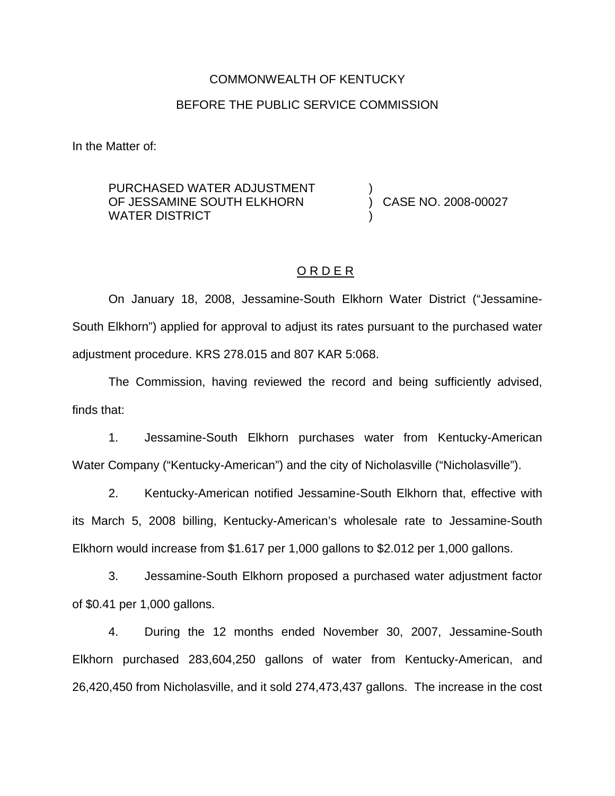# COMMONWEALTH OF KENTUCKY BEFORE THE PUBLIC SERVICE COMMISSION

In the Matter of:

### PURCHASED WATER ADJUSTMENT OF JESSAMINE SOUTH ELKHORN WATER DISTRICT

) CASE NO. 2008-00027

# O R D E R

)

)

On January 18, 2008, Jessamine-South Elkhorn Water District ("Jessamine-South Elkhorn") applied for approval to adjust its rates pursuant to the purchased water adjustment procedure. KRS 278.015 and 807 KAR 5:068.

The Commission, having reviewed the record and being sufficiently advised, finds that:

1. Jessamine-South Elkhorn purchases water from Kentucky-American Water Company ("Kentucky-American") and the city of Nicholasville ("Nicholasville").

2. Kentucky-American notified Jessamine-South Elkhorn that, effective with its March 5, 2008 billing, Kentucky-American's wholesale rate to Jessamine-South Elkhorn would increase from \$1.617 per 1,000 gallons to \$2.012 per 1,000 gallons.

3. Jessamine-South Elkhorn proposed a purchased water adjustment factor of \$0.41 per 1,000 gallons.

4. During the 12 months ended November 30, 2007, Jessamine-South Elkhorn purchased 283,604,250 gallons of water from Kentucky-American, and 26,420,450 from Nicholasville, and it sold 274,473,437 gallons. The increase in the cost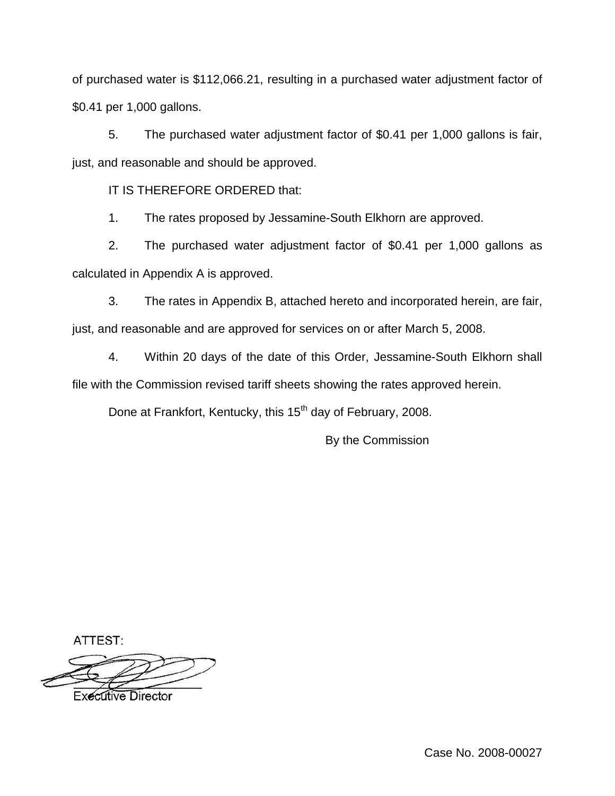of purchased water is \$112,066.21, resulting in a purchased water adjustment factor of \$0.41 per 1,000 gallons.

5. The purchased water adjustment factor of \$0.41 per 1,000 gallons is fair, just, and reasonable and should be approved.

IT IS THEREFORE ORDERED that:

1. The rates proposed by Jessamine-South Elkhorn are approved.

2. The purchased water adjustment factor of \$0.41 per 1,000 gallons as calculated in Appendix A is approved.

3. The rates in Appendix B, attached hereto and incorporated herein, are fair, just, and reasonable and are approved for services on or after March 5, 2008.

4. Within 20 days of the date of this Order, Jessamine-South Elkhorn shall file with the Commission revised tariff sheets showing the rates approved herein.

Done at Frankfort, Kentucky, this 15<sup>th</sup> day of February, 2008.

By the Commission

ATTEST:

**Executive Director** 

Case No. 2008-00027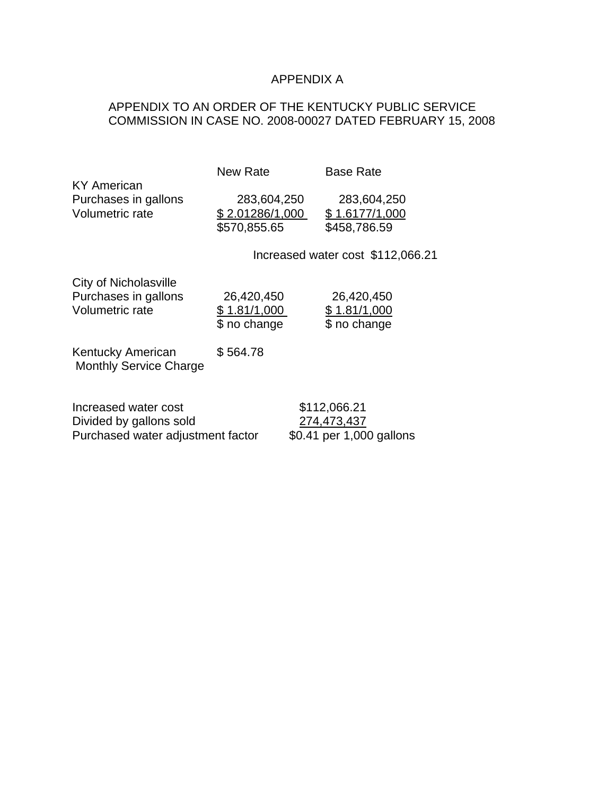# APPENDIX A

# APPENDIX TO AN ORDER OF THE KENTUCKY PUBLIC SERVICE COMMISSION IN CASE NO. 2008-00027 DATED FEBRUARY 15, 2008

| <b>KY American</b>                                                                   | New Rate                                       | <b>Base Rate</b>                                        |  |
|--------------------------------------------------------------------------------------|------------------------------------------------|---------------------------------------------------------|--|
| Purchases in gallons<br>Volumetric rate                                              | 283,604,250<br>\$2.01286/1,000<br>\$570,855.65 | 283,604,250<br>\$1.6177/1,000<br>\$458,786.59           |  |
|                                                                                      | Increased water cost \$112,066.21              |                                                         |  |
| City of Nicholasville<br>Purchases in gallons<br>Volumetric rate                     | 26,420,450<br>\$1.81/1,000<br>\$ no change     | 26,420,450<br>\$1.81/1,000<br>\$ no change              |  |
| Kentucky American<br><b>Monthly Service Charge</b>                                   | \$564.78                                       |                                                         |  |
| Increased water cost<br>Divided by gallons sold<br>Purchased water adjustment factor |                                                | \$112,066.21<br>274,473,437<br>\$0.41 per 1,000 gallons |  |